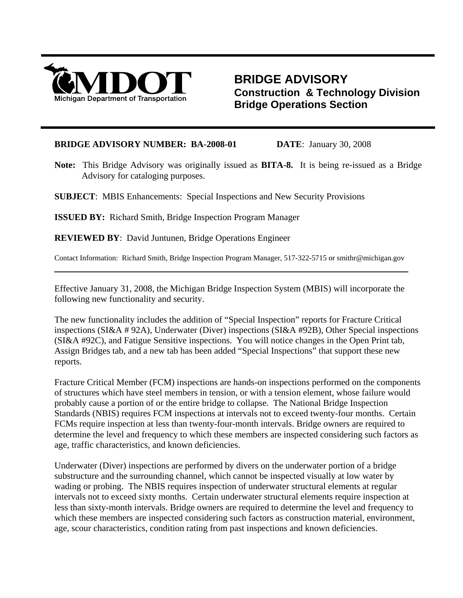

 $\overline{a}$ 

## **BRIDGE ADVISORY Construction & Technology Division Bridge Operations Section**

## **BRIDGE ADVISORY NUMBER: BA-2008-01 DATE**:January 30, 2008

**Note:** This Bridge Advisory was originally issued as **BITA-8.** It is being re-issued as a Bridge Advisory for cataloging purposes.

**SUBJECT**: MBIS Enhancements: Special Inspections and New Security Provisions

**ISSUED BY:** Richard Smith, Bridge Inspection Program Manager

**REVIEWED BY**: David Juntunen, Bridge Operations Engineer

Contact Information: Richard Smith, Bridge Inspection Program Manager, 517-322-5715 or smithr@michigan.gov

Effective January 31, 2008, the Michigan Bridge Inspection System (MBIS) will incorporate the following new functionality and security.

The new functionality includes the addition of "Special Inspection" reports for Fracture Critical inspections (SI&A # 92A), Underwater (Diver) inspections (SI&A #92B), Other Special inspections (SI&A #92C), and Fatigue Sensitive inspections. You will notice changes in the Open Print tab, Assign Bridges tab, and a new tab has been added "Special Inspections" that support these new reports.

Fracture Critical Member (FCM) inspections are hands-on inspections performed on the components of structures which have steel members in tension, or with a tension element, whose failure would probably cause a portion of or the entire bridge to collapse. The National Bridge Inspection Standards (NBIS) requires FCM inspections at intervals not to exceed twenty-four months. Certain FCMs require inspection at less than twenty-four-month intervals. Bridge owners are required to determine the level and frequency to which these members are inspected considering such factors as age, traffic characteristics, and known deficiencies.

Underwater (Diver) inspections are performed by divers on the underwater portion of a bridge substructure and the surrounding channel, which cannot be inspected visually at low water by wading or probing. The NBIS requires inspection of underwater structural elements at regular intervals not to exceed sixty months. Certain underwater structural elements require inspection at less than sixty-month intervals. Bridge owners are required to determine the level and frequency to which these members are inspected considering such factors as construction material, environment, age, scour characteristics, condition rating from past inspections and known deficiencies.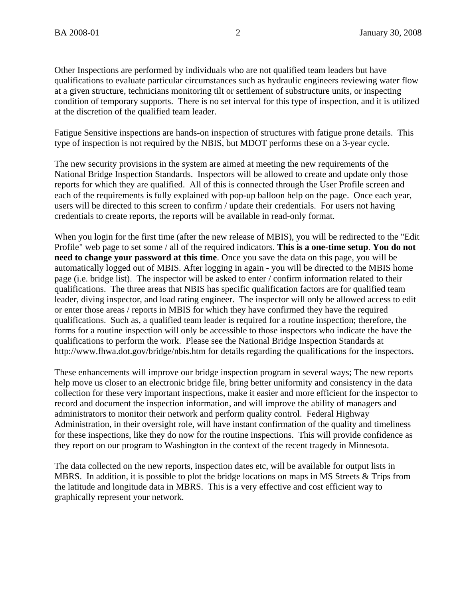Other Inspections are performed by individuals who are not qualified team leaders but have qualifications to evaluate particular circumstances such as hydraulic engineers reviewing water flow at a given structure, technicians monitoring tilt or settlement of substructure units, or inspecting condition of temporary supports. There is no set interval for this type of inspection, and it is utilized at the discretion of the qualified team leader.

Fatigue Sensitive inspections are hands-on inspection of structures with fatigue prone details. This type of inspection is not required by the NBIS, but MDOT performs these on a 3-year cycle.

The new security provisions in the system are aimed at meeting the new requirements of the National Bridge Inspection Standards. Inspectors will be allowed to create and update only those reports for which they are qualified. All of this is connected through the User Profile screen and each of the requirements is fully explained with pop-up balloon help on the page. Once each year, users will be directed to this screen to confirm / update their credentials. For users not having credentials to create reports, the reports will be available in read-only format.

When you login for the first time (after the new release of MBIS), you will be redirected to the "Edit Profile" web page to set some / all of the required indicators. **This is a one-time setup**. **You do not need to change your password at this time**. Once you save the data on this page, you will be automatically logged out of MBIS. After logging in again - you will be directed to the MBIS home page (i.e. bridge list). The inspector will be asked to enter / confirm information related to their qualifications. The three areas that NBIS has specific qualification factors are for qualified team leader, diving inspector, and load rating engineer. The inspector will only be allowed access to edit or enter those areas / reports in MBIS for which they have confirmed they have the required qualifications. Such as, a qualified team leader is required for a routine inspection; therefore, the forms for a routine inspection will only be accessible to those inspectors who indicate the have the qualifications to perform the work. Please see the National Bridge Inspection Standards at http://www.fhwa.dot.gov/bridge/nbis.htm for details regarding the qualifications for the inspectors.

These enhancements will improve our bridge inspection program in several ways; The new reports help move us closer to an electronic bridge file, bring better uniformity and consistency in the data collection for these very important inspections, make it easier and more efficient for the inspector to record and document the inspection information, and will improve the ability of managers and administrators to monitor their network and perform quality control. Federal Highway Administration, in their oversight role, will have instant confirmation of the quality and timeliness for these inspections, like they do now for the routine inspections. This will provide confidence as they report on our program to Washington in the context of the recent tragedy in Minnesota.

The data collected on the new reports, inspection dates etc, will be available for output lists in MBRS. In addition, it is possible to plot the bridge locations on maps in MS Streets & Trips from the latitude and longitude data in MBRS. This is a very effective and cost efficient way to graphically represent your network.